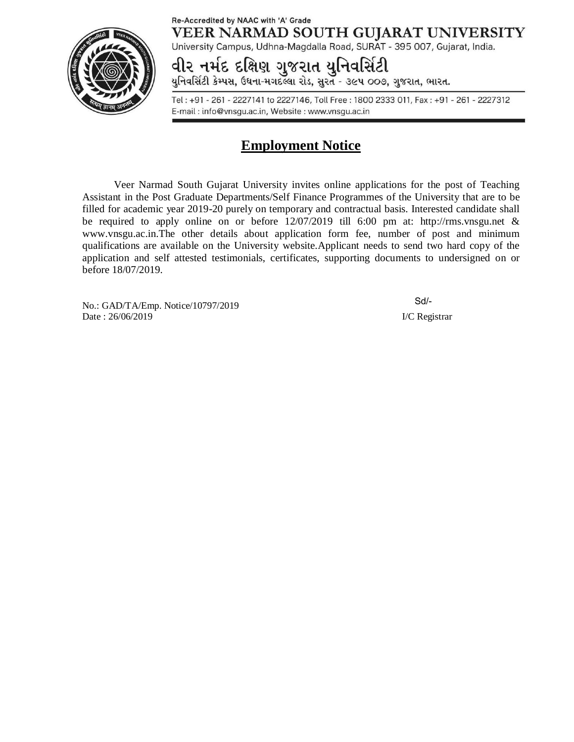## Re-Accredited by NAAC with 'A' Grade VEER NARMAD SOUTH GUJARAT UNIVERSITY

University Campus, Udhna-Magdalla Road, SURAT - 395 007, Gujarat, India.



વીર નર્મદ દક્ષિણ ગુજરાત યુનિવર્સિટી

યુનિવર્સિટી કેમ્પસ, ઉધના-મગદલ્લા રોડ, સુરત - ૩૯૫ ૦૦૭, ગુજરાત, ભારત.

Tel: +91 - 261 - 2227141 to 2227146, Toll Free: 1800 2333 011, Fax: +91 - 261 - 2227312 E-mail: info@vnsgu.ac.in, Website: www.vnsgu.ac.in

# **Employment Notice**

Veer Narmad South Gujarat University invites online applications for the post of Teaching Assistant in the Post Graduate Departments/Self Finance Programmes of the University that are to be filled for academic year 2019-20 purely on temporary and contractual basis. Interested candidate shall be required to apply online on or before 12/07/2019 till 6:00 pm at: <http://rms.vnsgu.net> & [www.vnsgu.ac.in.The](http://www.vnsgu.ac.in.The) other details about application form fee, number of post and minimum qualifications are available on the University website.Applicant needs to send two hard copy of the application and self attested testimonials, certificates, supporting documents to undersigned on or before 18/07/2019.

No.: GAD/TA/Emp. Notice/10797/2019 Date : 26/06/2019 **I/C Registrar** 

Sd/-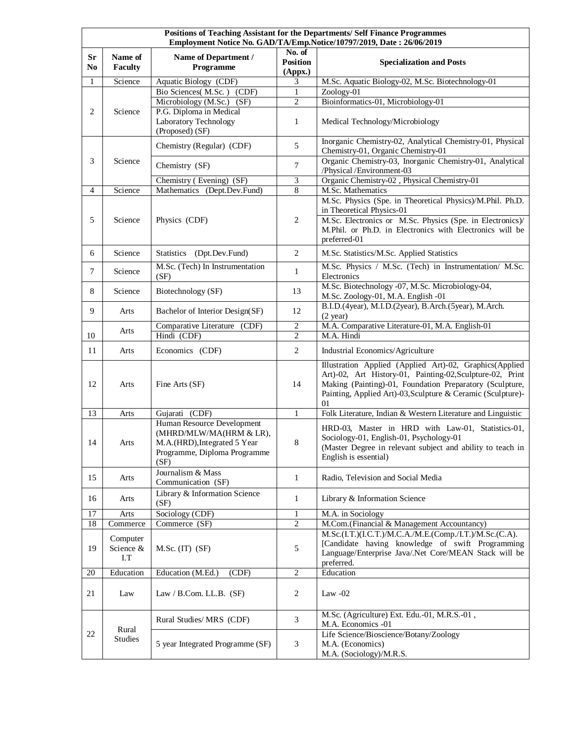| Positions of Teaching Assistant for the Departments/ Self Finance Programmes<br>Employment Notice No. GAD/TA/Emp.Notice/10797/2019, Date: 26/06/2019 |                              |                                                                                                                               |                                      |                                                                                                                                                                                                                                                       |
|------------------------------------------------------------------------------------------------------------------------------------------------------|------------------------------|-------------------------------------------------------------------------------------------------------------------------------|--------------------------------------|-------------------------------------------------------------------------------------------------------------------------------------------------------------------------------------------------------------------------------------------------------|
| <b>Sr</b><br>N <sub>0</sub>                                                                                                                          | Name of<br>Faculty           | Name of Department /<br>Programme                                                                                             | No. of<br><b>Position</b><br>(Appx.) | <b>Specialization and Posts</b>                                                                                                                                                                                                                       |
| 1                                                                                                                                                    | Science                      | Aquatic Biology (CDF)                                                                                                         | 3                                    | M.Sc. Aquatic Biology-02, M.Sc. Biotechnology-01                                                                                                                                                                                                      |
|                                                                                                                                                      |                              | Bio Sciences(M.Sc.) (CDF)<br>Microbiology (M.Sc.) (SF)                                                                        | $\mathbf{1}$<br>2                    | Zoology-01<br>Bioinformatics-01, Microbiology-01                                                                                                                                                                                                      |
| 2                                                                                                                                                    | Science                      | P.G. Diploma in Medical<br>Laboratory Technology<br>(Proposed) (SF)                                                           | $\mathbf{1}$                         | Medical Technology/Microbiology                                                                                                                                                                                                                       |
| 3                                                                                                                                                    | Science                      | Chemistry (Regular) (CDF)                                                                                                     | 5                                    | Inorganic Chemistry-02, Analytical Chemistry-01, Physical<br>Chemistry-01, Organic Chemistry-01                                                                                                                                                       |
|                                                                                                                                                      |                              | Chemistry (SF)                                                                                                                | 7                                    | Organic Chemistry-03, Inorganic Chemistry-01, Analytical<br>/Physical /Environment-03                                                                                                                                                                 |
|                                                                                                                                                      |                              | Chemistry (Evening) (SF)                                                                                                      | 3                                    | Organic Chemistry-02, Physical Chemistry-01                                                                                                                                                                                                           |
| 4                                                                                                                                                    | Science                      | Mathematics (Dept.Dev.Fund)                                                                                                   | 8                                    | M.Sc. Mathematics<br>M.Sc. Physics (Spe. in Theoretical Physics)/M.Phil. Ph.D.                                                                                                                                                                        |
| 5                                                                                                                                                    | Science                      | Physics (CDF)                                                                                                                 | 2                                    | in Theoretical Physics-01<br>M.Sc. Electronics or M.Sc. Physics (Spe. in Electronics)/<br>M.Phil. or Ph.D. in Electronics with Electronics will be<br>preferred-01                                                                                    |
| 6                                                                                                                                                    | Science                      | Statistics (Dpt.Dev.Fund)                                                                                                     | 2                                    | M.Sc. Statistics/M.Sc. Applied Statistics                                                                                                                                                                                                             |
| $\tau$                                                                                                                                               | Science                      | M.Sc. (Tech) In Instrumentation<br>(SF)                                                                                       | 1                                    | M.Sc. Physics / M.Sc. (Tech) in Instrumentation/ M.Sc.<br>Electronics                                                                                                                                                                                 |
| 8                                                                                                                                                    | Science                      | Biotechnology (SF)                                                                                                            | 13                                   | M.Sc. Biotechnology -07, M.Sc. Microbiology-04,<br>M.Sc. Zoology-01, M.A. English -01                                                                                                                                                                 |
| 9                                                                                                                                                    | Arts                         | Bachelor of Interior Design(SF)                                                                                               | 12                                   | B.I.D.(4year), M.I.D.(2year), B.Arch.(5year), M.Arch.<br>$(2 \text{ year})$                                                                                                                                                                           |
| 10                                                                                                                                                   | Arts                         | Comparative Literature (CDF)<br>Hindi (CDF)                                                                                   | 2<br>$\overline{c}$                  | M.A. Comparative Literature-01, M.A. English-01<br>M.A. Hindi                                                                                                                                                                                         |
| 11                                                                                                                                                   | Arts                         | Economics (CDF)                                                                                                               | $\overline{c}$                       | Industrial Economics/Agriculture                                                                                                                                                                                                                      |
| 12                                                                                                                                                   | Arts                         | Fine Arts (SF)                                                                                                                | 14                                   | Illustration Applied (Applied Art)-02, Graphics(Applied<br>Art)-02, Art History-01, Painting-02, Sculpture-02, Print<br>Making (Painting)-01, Foundation Preparatory (Sculpture,<br>Painting, Applied Art)-03, Sculpture & Ceramic (Sculpture)-<br>01 |
| 13                                                                                                                                                   | Arts                         | Gujarati (CDF)                                                                                                                | 1                                    | Folk Literature, Indian & Western Literature and Linguistic                                                                                                                                                                                           |
| 14                                                                                                                                                   | Arts                         | Human Resource Development<br>(MHRD/MLW/MA(HRM & LR),<br>M.A.(HRD), Integrated 5 Year<br>Programme, Diploma Programme<br>(SF) | 8                                    | HRD-03, Master in HRD with Law-01, Statistics-01,<br>Sociology-01, English-01, Psychology-01<br>(Master Degree in relevant subject and ability to teach in<br>English is essential)                                                                   |
| 15                                                                                                                                                   | Arts                         | Journalism & Mass<br>Communication (SF)                                                                                       | $\mathbf{1}$                         | Radio, Television and Social Media                                                                                                                                                                                                                    |
| 16                                                                                                                                                   | Arts                         | Library & Information Science<br>(SF)                                                                                         | $\mathbf{1}$                         | Library & Information Science                                                                                                                                                                                                                         |
| 17                                                                                                                                                   | Arts                         | Sociology (CDF)                                                                                                               | $\mathbf{1}$                         | M.A. in Sociology                                                                                                                                                                                                                                     |
| 18                                                                                                                                                   | Commerce                     | Commerce (SF)                                                                                                                 | $\overline{c}$                       | M.Com.(Financial & Management Accountancy)                                                                                                                                                                                                            |
| 19                                                                                                                                                   | Computer<br>Science &<br>I.T | M.Sc. (IT) (SF)                                                                                                               | 5                                    | M.Sc.(I.T.)(I.C.T.)/M.C.A./M.E.(Comp./I.T.)/M.Sc.(C.A).<br>[Candidate having knowledge of swift Programming<br>Language/Enterprise Java/.Net Core/MEAN Stack will be<br>preferred.                                                                    |
| 20                                                                                                                                                   | Education                    | Education (M.Ed.)<br>(CDF)                                                                                                    | $\overline{c}$                       | Education                                                                                                                                                                                                                                             |
| 21                                                                                                                                                   | Law                          | Law / B.Com. LL.B. $(SF)$                                                                                                     | 2                                    | Law $-02$                                                                                                                                                                                                                                             |
| 22                                                                                                                                                   | Rural<br><b>Studies</b>      | Rural Studies/MRS (CDF)                                                                                                       | 3                                    | M.Sc. (Agriculture) Ext. Edu.-01, M.R.S.-01,<br>M.A. Economics -01                                                                                                                                                                                    |
|                                                                                                                                                      |                              | 5 year Integrated Programme (SF)                                                                                              | 3                                    | Life Science/Bioscience/Botany/Zoology<br>M.A. (Economics)<br>M.A. (Sociology)/M.R.S.                                                                                                                                                                 |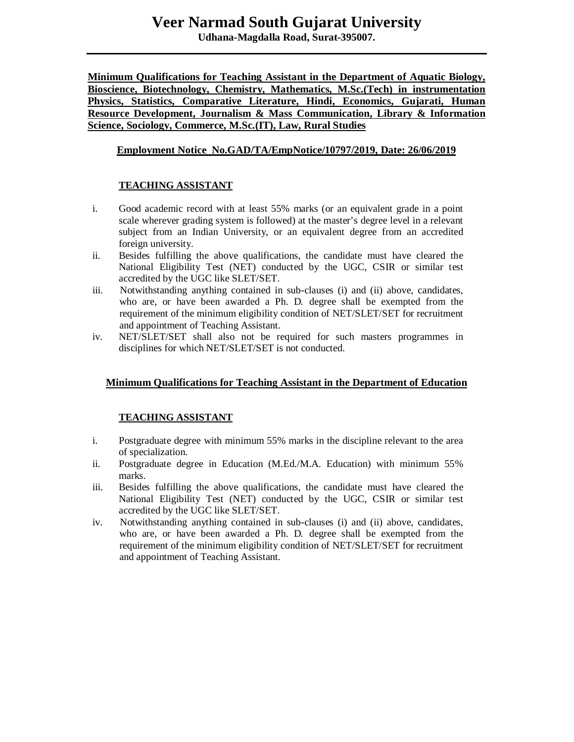**Udhana-Magdalla Road, Surat-395007.**

**Minimum Qualifications for Teaching Assistant in the Department of Aquatic Biology, Bioscience, Biotechnology, Chemistry, Mathematics, M.Sc.(Tech) in instrumentation Physics, Statistics, Comparative Literature, Hindi, Economics, Gujarati, Human Resource Development, Journalism & Mass Communication, Library & Information Science, Sociology, Commerce, M.Sc.(IT), Law, Rural Studies**

## **Employment Notice No.GAD/TA/EmpNotice/10797/2019, Date: 26/06/2019**

## **TEACHING ASSISTANT**

- i. Good academic record with at least 55% marks (or an equivalent grade in a point scale wherever grading system is followed) at the master's degree level in a relevant subject from an Indian University, or an equivalent degree from an accredited foreign university.
- ii. Besides fulfilling the above qualifications, the candidate must have cleared the National Eligibility Test (NET) conducted by the UGC, CSIR or similar test accredited by the UGC like SLET/SET.
- iii. Notwithstanding anything contained in sub-clauses (i) and (ii) above, candidates, who are, or have been awarded a Ph. D*.* degree shall be exempted from the requirement of the minimum eligibility condition of NET/SLET/SET for recruitment and appointment of Teaching Assistant.
- iv. NET/SLET/SET shall also not be required for such masters programmes in disciplines for which NET/SLET/SET is not conducted.

## **Minimum Qualifications for Teaching Assistant in the Department of Education**

## **TEACHING ASSISTANT**

- i. Postgraduate degree with minimum 55% marks in the discipline relevant to the area of specialization.
- ii. Postgraduate degree in Education (M.Ed./M.A. Education) with minimum 55% marks.
- iii. Besides fulfilling the above qualifications, the candidate must have cleared the National Eligibility Test (NET) conducted by the UGC, CSIR or similar test accredited by the UGC like SLET/SET.
- iv. Notwithstanding anything contained in sub-clauses (i) and (ii) above, candidates, who are, or have been awarded a Ph. D*.* degree shall be exempted from the requirement of the minimum eligibility condition of NET/SLET/SET for recruitment and appointment of Teaching Assistant.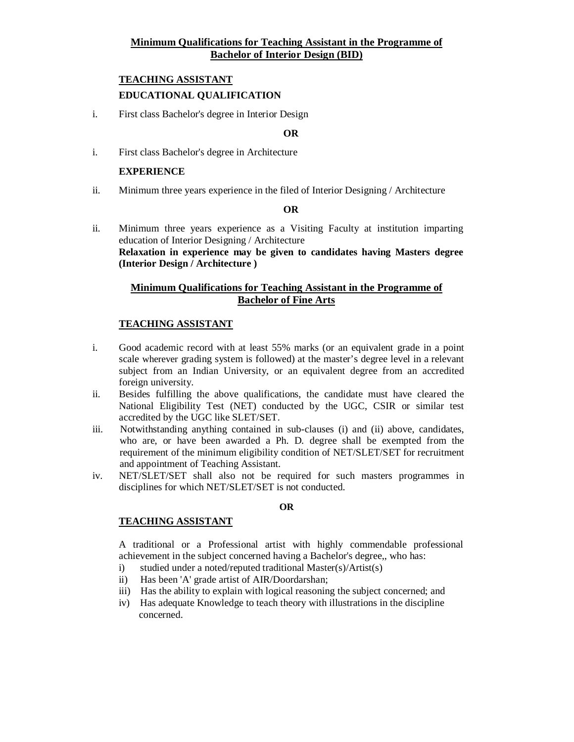## **Minimum Qualifications for Teaching Assistant in the Programme of Bachelor of Interior Design (BID)**

## **TEACHING ASSISTANT EDUCATIONAL QUALIFICATION**

i. First class Bachelor's degree in Interior Design

#### **OR**

i. First class Bachelor's degree in Architecture

#### **EXPERIENCE**

ii. Minimum three years experience in the filed of Interior Designing / Architecture

#### **OR**

ii. Minimum three years experience as a Visiting Faculty at institution imparting education of Interior Designing / Architecture **Relaxation in experience may be given to candidates having Masters degree (Interior Design / Architecture )**

## **Minimum Qualifications for Teaching Assistant in the Programme of Bachelor of Fine Arts**

#### **TEACHING ASSISTANT**

- i. Good academic record with at least 55% marks (or an equivalent grade in a point scale wherever grading system is followed) at the master's degree level in a relevant subject from an Indian University, or an equivalent degree from an accredited foreign university.
- ii. Besides fulfilling the above qualifications, the candidate must have cleared the National Eligibility Test (NET) conducted by the UGC, CSIR or similar test accredited by the UGC like SLET/SET.
- iii. Notwithstanding anything contained in sub-clauses (i) and (ii) above, candidates, who are, or have been awarded a Ph. D*.* degree shall be exempted from the requirement of the minimum eligibility condition of NET/SLET/SET for recruitment and appointment of Teaching Assistant.
- iv. NET/SLET/SET shall also not be required for such masters programmes in disciplines for which NET/SLET/SET is not conducted.

#### **OR**

#### **TEACHING ASSISTANT**

A traditional or a Professional artist with highly commendable professional achievement in the subject concerned having a Bachelor's degree,, who has:

- i) studied under a noted/reputed traditional Master(s)/Artist(s)
- ii) Has been 'A' grade artist of AIR/Doordarshan;
- iii) Has the ability to explain with logical reasoning the subject concerned; and
- iv) Has adequate Knowledge to teach theory with illustrations in the discipline concerned.